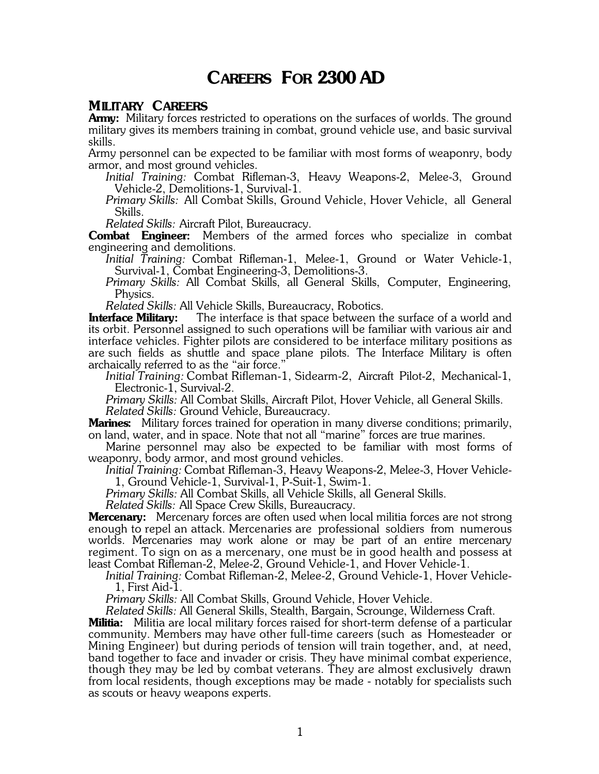## **CAREERS FOR 2300 AD**

#### **MILITARY CAREERS**

**Army:** Military forces restricted to operations on the surfaces of worlds. The ground military gives its members training in combat, ground vehicle use, and basic survival skills.

Army personnel can be expected to be familiar with most forms of weaponry, body armor, and most ground vehicles.

*Initial Training:* Combat Rifleman-3, Heavy Weapons-2, Melee-3, Ground Vehicle-2, Demolitions-1, Survival-1.

*Primary Skills:* All Combat Skills, Ground Vehicle, Hover Vehicle, all General Skills.

*Related Skills:* Aircraft Pilot, Bureaucracy.

**Combat Engineer:** Members of the armed forces who specialize in combat engineering and demolitions.

*Initial Training:* Combat Rifleman-1, Melee-1, Ground or Water Vehicle-1, Survival-1, Combat Engineering-3, Demolitions-3.

*Primary Skills:* All Combat Skills, all General Skills, Computer, Engineering, Physics.

*Related Skills: All Vehicle Skills, Bureaucracy, Robotics.*<br>**Interface Military:** The interface is that space between the The interface is that space between the surface of a world and its orbit. Personnel assigned to such operations will be familiar with various air and interface vehicles. Fighter pilots are considered to be interface military positions as are such fields as shuttle and space plane pilots. The Interface Military is often archaically referred to as the "air force."

*Initial Training:* Combat Rifleman-1, Sidearm-2, Aircraft Pilot-2, Mechanical-1, Electronic-1, Survival-2.

*Primary Skills:* All Combat Skills, Aircraft Pilot, Hover Vehicle, all General Skills. *Related Skills:* Ground Vehicle, Bureaucracy.

**Marines:** Military forces trained for operation in many diverse conditions; primarily, on land, water, and in space. Note that not all "marine" forces are true marines.

Marine personnel may also be expected to be familiar with most forms of weaponry, body armor, and most ground vehicles.

*Initial Training:* Combat Rifleman-3, Heavy Weapons-2, Melee-3, Hover Vehicle-1, Ground Vehicle-1, Survival-1, P-Suit-1, Swim-1.

*Primary Skills:* All Combat Skills, all Vehicle Skills, all General Skills.

*Related Skills:* All Space Crew Skills, Bureaucracy.

**Mercenary:** Mercenary forces are often used when local militia forces are not strong enough to repel an attack. Mercenaries are professional soldiers from numerous worlds. Mercenaries may work alone or may be part of an entire mercenary regiment. To sign on as a mercenary, one must be in good health and possess at least Combat Rifleman-2, Melee-2, Ground Vehicle-1, and Hover Vehicle-1.

*Initial Training:* Combat Rifleman-2, Melee-2, Ground Vehicle-1, Hover Vehicle-1, First Aid-1.

*Primary Skills:* All Combat Skills, Ground Vehicle, Hover Vehicle.

*Related Skills:* All General Skills, Stealth, Bargain, Scrounge, Wilderness Craft.

**Militia:** Militia are local military forces raised for short-term defense of a particular community. Members may have other full-time careers (such as Homesteader or Mining Engineer) but during periods of tension will train together, and, at need, band together to face and invader or crisis. They have minimal combat experience, though they may be led by combat veterans. They are almost exclusively drawn from local residents, though exceptions may be made - notably for specialists such as scouts or heavy weapons experts.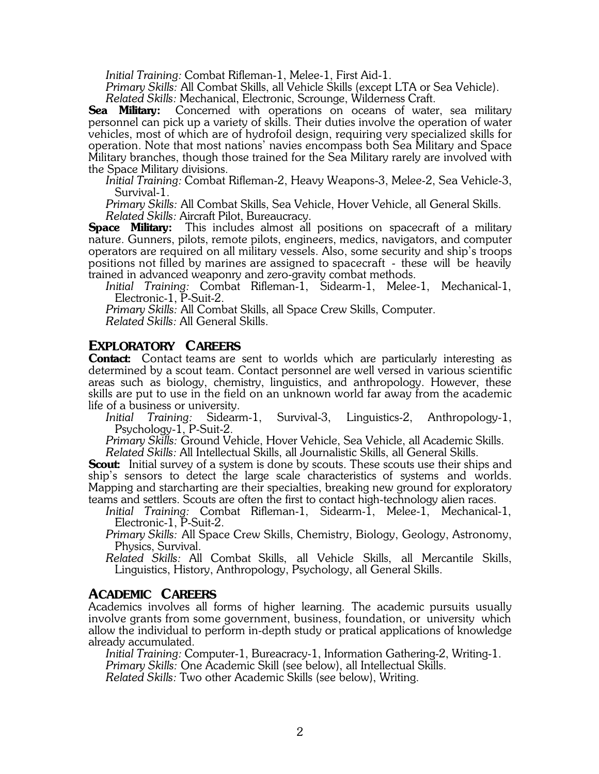*Initial Training:* Combat Rifleman-1, Melee-1, First Aid-1.

*Primary Skills:* All Combat Skills, all Vehicle Skills (except LTA or Sea Vehicle). *Related Skills:* Mechanical, Electronic, Scrounge, Wilderness Craft.

**Sea Military:** Concerned with operations on oceans of water, sea military personnel can pick up a variety of skills. Their duties involve the operation of water vehicles, most of which are of hydrofoil design, requiring very specialized skills for operation. Note that most nations' navies encompass both Sea Military and Space Military branches, though those trained for the Sea Military rarely are involved with the Space Military divisions.

*Initial Training:* Combat Rifleman-2, Heavy Weapons-3, Melee-2, Sea Vehicle-3, Survival-1.

*Primary Skills:* All Combat Skills, Sea Vehicle, Hover Vehicle, all General Skills. *Related Skills:* Aircraft Pilot, Bureaucracy.

**Space Military:** This includes almost all positions on spacecraft of a military nature. Gunners, pilots, remote pilots, engineers, medics, navigators, and computer operators are required on all military vessels. Also, some security and ship's troops positions not filled by marines are assigned to spacecraft - these will be heavily trained in advanced weaponry and zero-gravity combat methods.

*Initial Training:* Combat Rifleman-1, Sidearm-1, Melee-1, Mechanical-1, Electronic-1, P-Suit-2.

*Primary Skills:* All Combat Skills, all Space Crew Skills, Computer.

*Related Skills:* All General Skills.

#### **EXPLORATORY CAREERS**

**Contact:** Contact teams are sent to worlds which are particularly interesting as determined by a scout team. Contact personnel are well versed in various scientific areas such as biology, chemistry, linguistics, and anthropology. However, these skills are put to use in the field on an unknown world far away from the academic life of a business or university.

*Initial Training:* Sidearm-1, Survival-3, Linguistics-2, Anthropology-1, Psychology-1, P-Suit-2.

*Primary Skills:* Ground Vehicle, Hover Vehicle, Sea Vehicle, all Academic Skills. *Related Skills:* All Intellectual Skills, all Journalistic Skills, all General Skills.

**Scout:** Initial survey of a system is done by scouts. These scouts use their ships and ship's sensors to detect the large scale characteristics of systems and worlds. Mapping and starcharting are their specialties, breaking new ground for exploratory teams and settlers. Scouts are often the first to contact high-technology alien races.

*Initial Training:* Combat Rifleman-1, Sidearm-1, Melee-1, Mechanical-1, Electronic-1, P-Suit-2.

*Primary Skills:* All Space Crew Skills, Chemistry, Biology, Geology, Astronomy, Physics, Survival.

*Related Skills:* All Combat Skills, all Vehicle Skills, all Mercantile Skills, Linguistics, History, Anthropology, Psychology, all General Skills.

#### **ACADEMIC CAREERS**

Academics involves all forms of higher learning. The academic pursuits usually involve grants from some government, business, foundation, or university which allow the individual to perform in-depth study or pratical applications of knowledge already accumulated.

*Initial Training:* Computer-1, Bureacracy-1, Information Gathering-2, Writing-1. *Primary Skills:* One Academic Skill (see below), all Intellectual Skills. *Related Skills:* Two other Academic Skills (see below), Writing.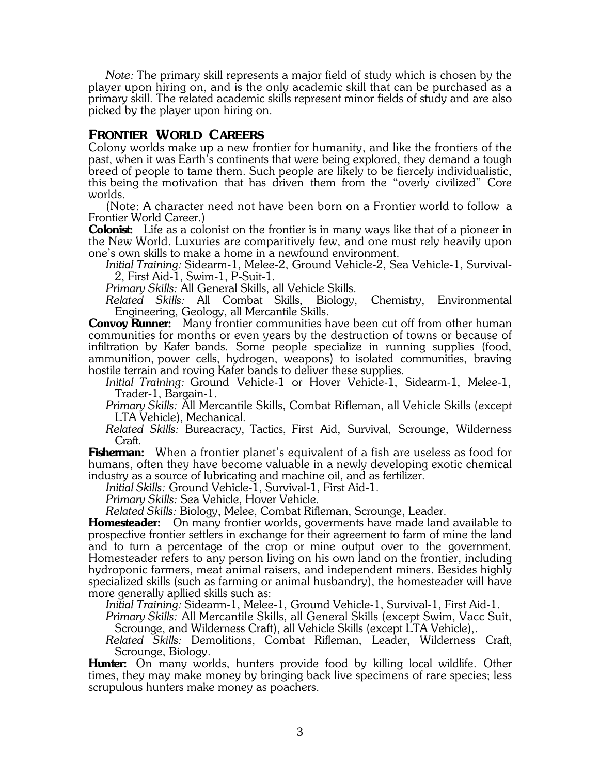*Note:* The primary skill represents a major field of study which is chosen by the player upon hiring on, and is the only academic skill that can be purchased as a primary skill. The related academic skills represent minor fields of study and are also picked by the player upon hiring on.

## **FRONTIER WORLD CAREERS**

Colony worlds make up a new frontier for humanity, and like the frontiers of the past, when it was Earth's continents that were being explored, they demand a tough breed of people to tame them. Such people are likely to be fiercely individualistic, this being the motivation that has driven them from the "overly civilized" Core worlds.

(Note: A character need not have been born on a Frontier world to follow a Frontier World Career.)

**Colonist:** Life as a colonist on the frontier is in many ways like that of a pioneer in the New World. Luxuries are comparitively few, and one must rely heavily upon one's own skills to make a home in a newfound environment.

*Initial Training:* Sidearm-1, Melee-2, Ground Vehicle-2, Sea Vehicle-1, Survival-2, First Aid-1, Swim-1, P-Suit-1.

*Primary Skills:* All General Skills, all Vehicle Skills.

*Related Skills:* All Combat Skills, Biology, Chemistry, Environmental Engineering, Geology, all Mercantile Skills.

**Convoy Runner:** Many frontier communities have been cut off from other human communities for months or even years by the destruction of towns or because of infiltration by Kafer bands. Some people specialize in running supplies (food, ammunition, power cells, hydrogen, weapons) to isolated communities, braving hostile terrain and roving Kafer bands to deliver these supplies.

*Initial Training:* Ground Vehicle-1 or Hover Vehicle-1, Sidearm-1, Melee-1, Trader-1, Bargain-1.

*Primary Skills:* All Mercantile Skills, Combat Rifleman, all Vehicle Skills (except LTA Vehicle), Mechanical.

*Related Skills:* Bureacracy, Tactics, First Aid, Survival, Scrounge, Wilderness Craft.

**Fisherman:** When a frontier planet's equivalent of a fish are useless as food for humans, often they have become valuable in a newly developing exotic chemical industry as a source of lubricating and machine oil, and as fertilizer.

*Initial Skills:* Ground Vehicle-1, Survival-1, First Aid-1.

*Primary Skills:* Sea Vehicle, Hover Vehicle.

*Related Skills:* Biology, Melee, Combat Rifleman, Scrounge, Leader.

**Homesteader:** On many frontier worlds, goverments have made land available to prospective frontier settlers in exchange for their agreement to farm of mine the land and to turn a percentage of the crop or mine output over to the government. Homesteader refers to any person living on his own land on the frontier, including hydroponic farmers, meat animal raisers, and independent miners. Besides highly specialized skills (such as farming or animal husbandry), the homesteader will have more generally apllied skills such as:

*Initial Training:* Sidearm-1, Melee-1, Ground Vehicle-1, Survival-1, First Aid-1.

*Primary Skills:* All Mercantile Skills, all General Skills (except Swim, Vacc Suit, Scrounge, and Wilderness Craft), all Vehicle Skills (except LTA Vehicle),.

*Related Skills:* Demolitions, Combat Rifleman, Leader, Wilderness Craft, Scrounge, Biology.

**Hunter:** On many worlds, hunters provide food by killing local wildlife. Other times, they may make money by bringing back live specimens of rare species; less scrupulous hunters make money as poachers.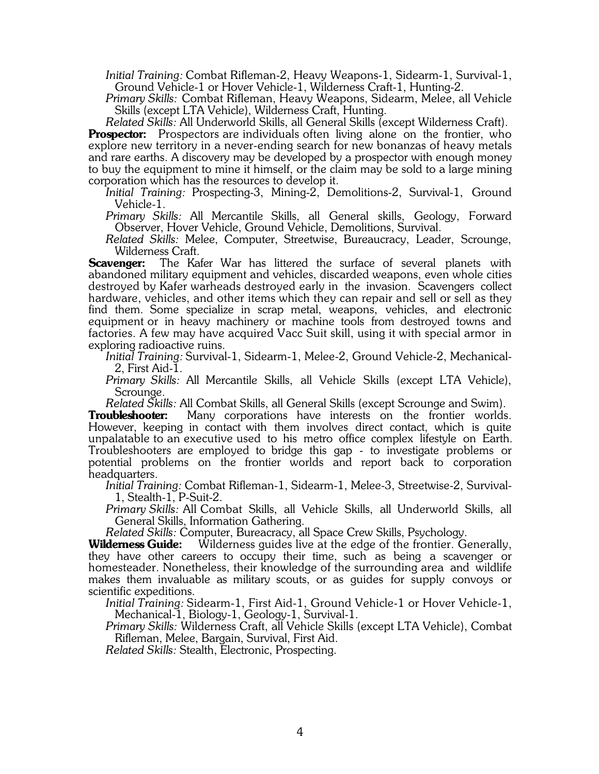*Initial Training:* Combat Rifleman-2, Heavy Weapons-1, Sidearm-1, Survival-1, Ground Vehicle-1 or Hover Vehicle-1, Wilderness Craft-1, Hunting-2.

*Primary Skills:* Combat Rifleman, Heavy Weapons, Sidearm, Melee, all Vehicle Skills (except LTA Vehicle), Wilderness Craft, Hunting.

*Related Skills:* All Underworld Skills, all General Skills (except Wilderness Craft).

**Prospector:** Prospectors are individuals often living alone on the frontier, who explore new territory in a never-ending search for new bonanzas of heavy metals and rare earths. A discovery may be developed by a prospector with enough money to buy the equipment to mine it himself, or the claim may be sold to a large mining corporation which has the resources to develop it.

*Initial Training:* Prospecting-3, Mining-2, Demolitions-2, Survival-1, Ground Vehicle-1.

*Primary Skills:* All Mercantile Skills, all General skills, Geology, Forward Observer, Hover Vehicle, Ground Vehicle, Demolitions, Survival.

*Related Skills:* Melee, Computer, Streetwise, Bureaucracy, Leader, Scrounge,

Wilderness Craft.<br>**Scavenger:** The Kai The Kafer War has littered the surface of several planets with abandoned military equipment and vehicles, discarded weapons, even whole cities destroyed by Kafer warheads destroyed early in the invasion. Scavengers collect hardware, vehicles, and other items which they can repair and sell or sell as they find them. Some specialize in scrap metal, weapons, vehicles, and electronic equipment or in heavy machinery or machine tools from destroyed towns and factories. A few may have acquired Vacc Suit skill, using it with special armor in exploring radioactive ruins.

*Initial Training:* Survival-1, Sidearm-1, Melee-2, Ground Vehicle-2, Mechanical-2, First Aid-1.

*Primary Skills:* All Mercantile Skills, all Vehicle Skills (except LTA Vehicle), Scrounge.

*Related Skills:* All Combat Skills, all General Skills (except Scrounge and Swim).

**Troubleshooter:** Many corporations have interests on the frontier worlds. However, keeping in contact with them involves direct contact, which is quite unpalatable to an executive used to his metro office complex lifestyle on Earth. Troubleshooters are employed to bridge this gap - to investigate problems or potential problems on the frontier worlds and report back to corporation headquarters.

*Initial Training:* Combat Rifleman-1, Sidearm-1, Melee-3, Streetwise-2, Survival-1, Stealth-1, P-Suit-2.

*Primary Skills:* All Combat Skills, all Vehicle Skills, all Underworld Skills, all General Skills, Information Gathering.

*Related Skills:* Computer, Bureacracy, all Space Crew Skills, Psychology.

**Wilderness Guide:** Wilderness guides live at the edge of the frontier. Generally, they have other careers to occupy their time, such as being a scavenger or homesteader. Nonetheless, their knowledge of the surrounding area and wildlife makes them invaluable as military scouts, or as guides for supply convoys or scientific expeditions.

*Initial Training:* Sidearm-1, First Aid-1, Ground Vehicle-1 or Hover Vehicle-1, Mechanical-1, Biology-1, Geology-1, Survival-1.

*Primary Skills:* Wilderness Craft, all Vehicle Skills (except LTA Vehicle), Combat Rifleman, Melee, Bargain, Survival, First Aid.

*Related Skills:* Stealth, Electronic, Prospecting.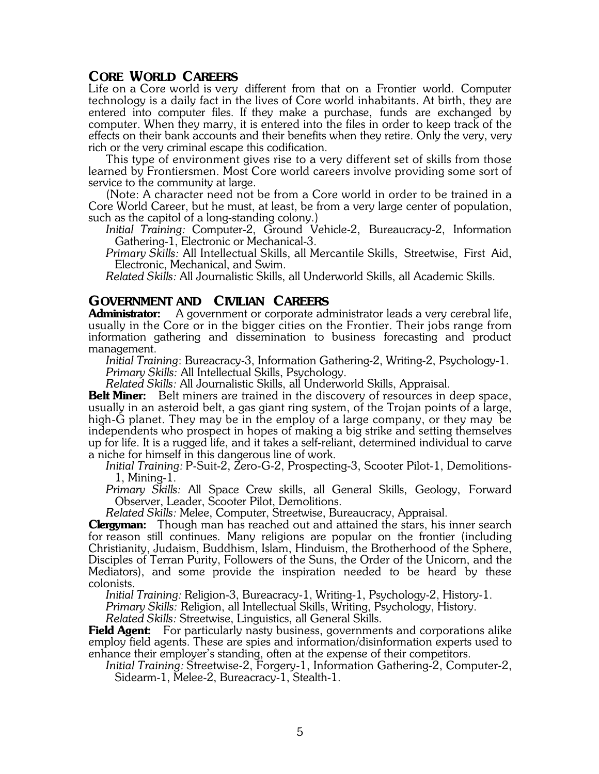## **CORE WORLD CAREERS**

Life on a Core world is very different from that on a Frontier world. Computer technology is a daily fact in the lives of Core world inhabitants. At birth, they are entered into computer files. If they make a purchase, funds are exchanged by computer. When they marry, it is entered into the files in order to keep track of the effects on their bank accounts and their benefits when they retire. Only the very, very rich or the very criminal escape this codification.

This type of environment gives rise to a very different set of skills from those learned by Frontiersmen. Most Core world careers involve providing some sort of service to the community at large.

(Note: A character need not be from a Core world in order to be trained in a Core World Career, but he must, at least, be from a very large center of population, such as the capitol of a long-standing colony.)

*Initial Training:* Computer-2, Ground Vehicle-2, Bureaucracy-2, Information Gathering-1, Electronic or Mechanical-3.

*Primary Skills:* All Intellectual Skills, all Mercantile Skills, Streetwise, First Aid, Electronic, Mechanical, and Swim.

*Related Skills:* All Journalistic Skills, all Underworld Skills, all Academic Skills.

# **GOVERNMENT AND CIVILIAN CAREERS**<br>**Administrator:** A government or corporate adj

A government or corporate administrator leads a very cerebral life, usually in the Core or in the bigger cities on the Frontier. Their jobs range from information gathering and dissemination to business forecasting and product management.

*Initial Training*: Bureacracy-3, Information Gathering-2, Writing-2, Psychology-1. *Primary Skills:* All Intellectual Skills, Psychology.

*Related Skills:* All Journalistic Skills, all Underworld Skills, Appraisal.

**Belt Miner:** Belt miners are trained in the discovery of resources in deep space, usually in an asteroid belt, a gas giant ring system, of the Trojan points of a large, high-G planet. They may be in the employ of a large company, or they may be independents who prospect in hopes of making a big strike and setting themselves up for life. It is a rugged life, and it takes a self-reliant, determined individual to carve a niche for himself in this dangerous line of work.

*Initial Training:* P-Suit-2, Zero-G-2, Prospecting-3, Scooter Pilot-1, Demolitions-1, Mining-1.

*Primary Skills:* All Space Crew skills, all General Skills, Geology, Forward Observer, Leader, Scooter Pilot, Demolitions.

*Related Skills:* Melee, Computer, Streetwise, Bureaucracy, Appraisal.

**Clergyman:** Though man has reached out and attained the stars, his inner search for reason still continues. Many religions are popular on the frontier (including Christianity, Judaism, Buddhism, Islam, Hinduism, the Brotherhood of the Sphere, Disciples of Terran Purity, Followers of the Suns, the Order of the Unicorn, and the Mediators), and some provide the inspiration needed to be heard by these colonists.

*Initial Training:* Religion-3, Bureacracy-1, Writing-1, Psychology-2, History-1.

*Primary Skills:* Religion, all Intellectual Skills, Writing, Psychology, History.

*Related Skills:* Streetwise, Linguistics, all General Skills.

**Field Agent:** For particularly nasty business, governments and corporations alike employ field agents. These are spies and information/disinformation experts used to enhance their employer's standing, often at the expense of their competitors.

*Initial Training:* Streetwise-2, Forgery-1, Information Gathering-2, Computer-2, Sidearm-1, Melee-2, Bureacracy-1, Stealth-1.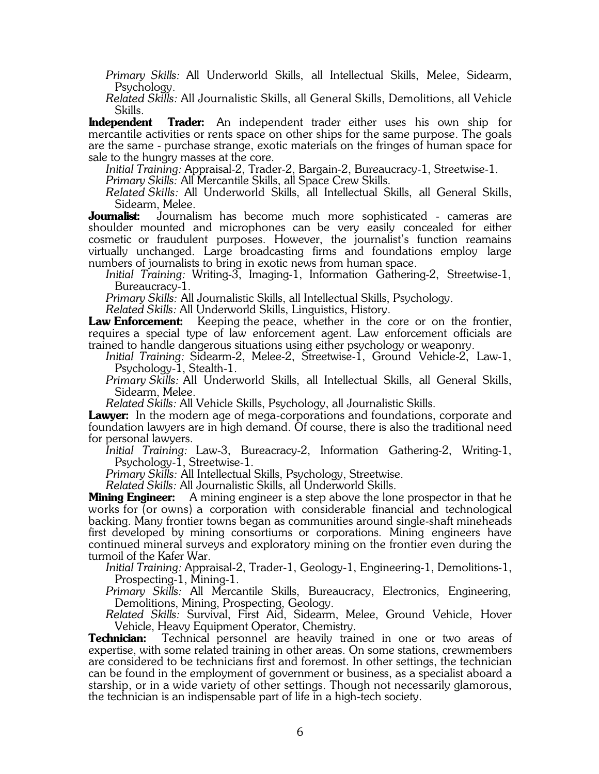*Primary Skills:* All Underworld Skills, all Intellectual Skills, Melee, Sidearm, Psychology.

*Related Skills:* All Journalistic Skills, all General Skills, Demolitions, all Vehicle Skills.

**Independent Trader:** An independent trader either uses his own ship for mercantile activities or rents space on other ships for the same purpose. The goals are the same - purchase strange, exotic materials on the fringes of human space for sale to the hungry masses at the core.

*Initial Training:* Appraisal-2, Trader-2, Bargain-2, Bureaucracy-1, Streetwise-1.

*Primary Skills:* All Mercantile Skills, all Space Crew Skills.

*Related Skills:* All Underworld Skills, all Intellectual Skills, all General Skills,

Sidearm, Melee.<br>**Journalist:** Journali Journalism has become much more sophisticated - cameras are shoulder mounted and microphones can be very easily concealed for either cosmetic or fraudulent purposes. However, the journalist's function reamains virtually unchanged. Large broadcasting firms and foundations employ large numbers of journalists to bring in exotic news from human space.

*Initial Training:* Writing-3, Imaging-1, Information Gathering-2, Streetwise-1, Bureaucracy-1.

*Primary Skills:* All Journalistic Skills, all Intellectual Skills, Psychology.

*Related Skills:* All Underworld Skills, Linguistics, History.

**Law Enforcement:** Keeping the peace, whether in the core or on the frontier, requires a special type of law enforcement agent. Law enforcement officials are trained to handle dangerous situations using either psychology or weaponry.

*Initial Training:* Sidearm-2, Melee-2, Streetwise-1, Ground Vehicle-2, Law-1, Psychology-1, Stealth-1.

*Primary Skills:* All Underworld Skills, all Intellectual Skills, all General Skills, Sidearm, Melee.

*Related Skills:* All Vehicle Skills, Psychology, all Journalistic Skills.

**Lawyer:** In the modern age of mega-corporations and foundations, corporate and foundation lawyers are in high demand. Of course, there is also the traditional need for personal lawyers.

*Initial Training:* Law-3, Bureacracy-2, Information Gathering-2, Writing-1, Psychology-1, Streetwise-1.

*Primary Skills:* All Intellectual Skills, Psychology, Streetwise.

*Related Skills:* All Journalistic Skills, all Underworld Skills.

**Mining Engineer:** A mining engineer is a step above the lone prospector in that he works for (or owns) a corporation with considerable financial and technological backing. Many frontier towns began as communities around single-shaft mineheads first developed by mining consortiums or corporations. Mining engineers have continued mineral surveys and exploratory mining on the frontier even during the turmoil of the Kafer War.

*Initial Training:* Appraisal-2, Trader-1, Geology-1, Engineering-1, Demolitions-1, Prospecting-1, Mining-1.

*Primary Skills:* All Mercantile Skills, Bureaucracy, Electronics, Engineering, Demolitions, Mining, Prospecting, Geology.

*Related Skills:* Survival, First Aid, Sidearm, Melee, Ground Vehicle, Hover Vehicle, Heavy Equipment Operator, Chemistry.

**Technician:** Technical personnel are heavily trained in one or two areas of expertise, with some related training in other areas. On some stations, crewmembers are considered to be technicians first and foremost. In other settings, the technician can be found in the employment of government or business, as a specialist aboard a starship, or in a wide variety of other settings. Though not necessarily glamorous, the technician is an indispensable part of life in a high-tech society.